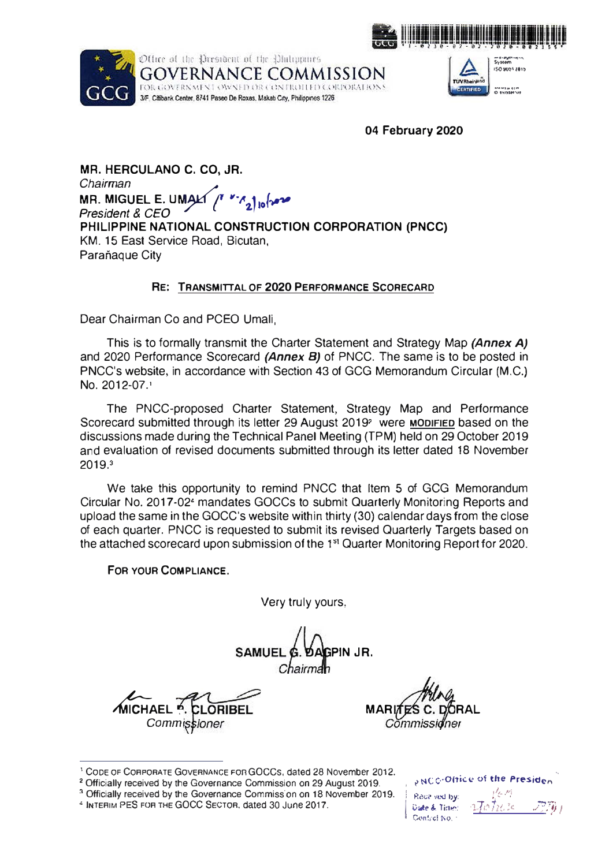



Office of the President of the Philippines GOVERNANCE COMMISSION FOR GOVERNMENT OWNED OR CONTROLLED CORPORATIONS 3/F, Citibank Center, 8741 Paseo De Roxas, Makatı City, Philippines 1226



**04 February 2020** 

**MR. HERCULANO C. CO, JR.**  *Chairman President*  **&** *CEO*  **MR. MIGUEL E. UMAL E. UM�• ,-�2.1io(� PHILIPPINE NATIONAL CONSTRUCTION CORPORATION (PNCC)**  KM. 15 East Service Road, Bicutan, Parañaque City

## **RE: TRANSMITTAL OF 2020 PERFORMANCE SCORECARD**

Dear Chairman Co and PCEO Umali,

This is to formally transmit the Charter Statement and Strategy Map *(Annex A)*  and 2020 Performance Scorecard *(Annex B)* of PNCC. The same is to be posted in PNCC's website, in accordance with Section 43 of GCG Memorandum Circular (M.C.) No. 2012-07. **<sup>1</sup>**

The PNCC-proposed Charter Statement, Strategy Map and Performance Scorecard submitted through its letter 29 August 2019<sup>2</sup> were MODIFIED based on the discussions made during the Technical Panel Meeting (TPM) held on 29 October 2019 and evaluation of revised documents submitted through its letter dated 18 November 2019,<sup>3</sup>

We take this opportunity to remind PNCC that Item 5 of GCG Memorandum Circular No. 2017-02' mandates GOCCs to submit Quarterly Monitoring Reports and upload the same in the GOCC's website within thirty (30) calendar days from the close of each quarter. PNCC is requested to submit its revised Quarterly Targets based on the attached scorecard upon submission of the 1<sup>st</sup> Quarter Monitoring Report for 2020.

**FOR YOUR COMPLIANCE.** 

Very truly yours,

SAMUEI **PIN JR.** 

**MICHAEL P. CLORIBEL MARI** Commiss

**RAL** 

<sup>3</sup> Officially received by the Governance Commission on 18 November 2019.

, NCC-Oltice of the Presiden

*.1,,\_* /✓<sup>j</sup>

**Received by:** 11' *V<IIIOi<.·* • .J.,. o.. " r· ,,,\_, ·1 ) •� *l-.1 'I('* ✓*h)* /"j', f I( ••• -··• 1, *: i* .,\_, .. · • ,, , *JI* t • G,\n�rci �o. ·

<sup>1</sup>CODE OF CORPORATE GOVERNANCE FOR GOCCs, dated 28 November 2012,

**<sup>2</sup>**Officially received by the Governance Commission on 29 August 2019.

**<sup>4</sup>**INTERIM PES FOR THE GOCC SECTOR .. dated 30 June 2017.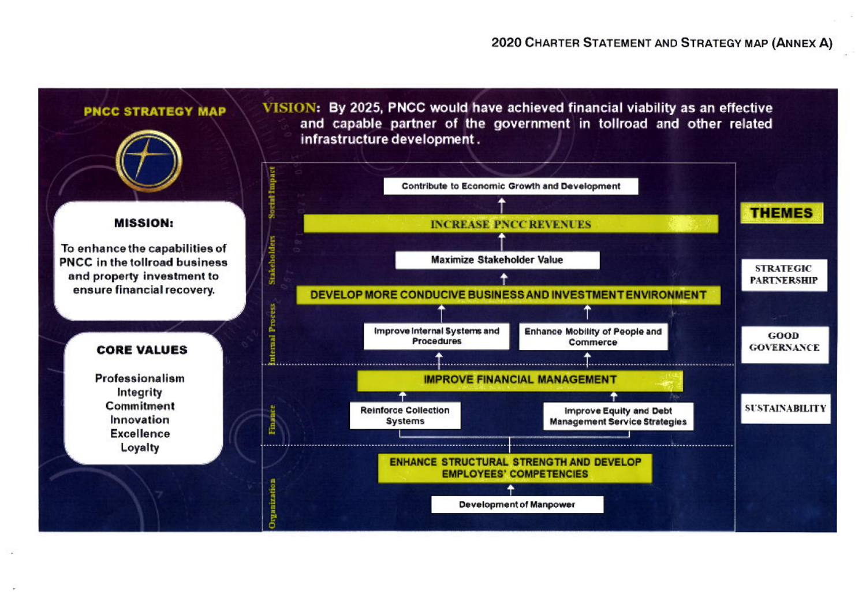## 2020 CHARTER STATEMENT AND STRATEGY MAP (ANNEX A)

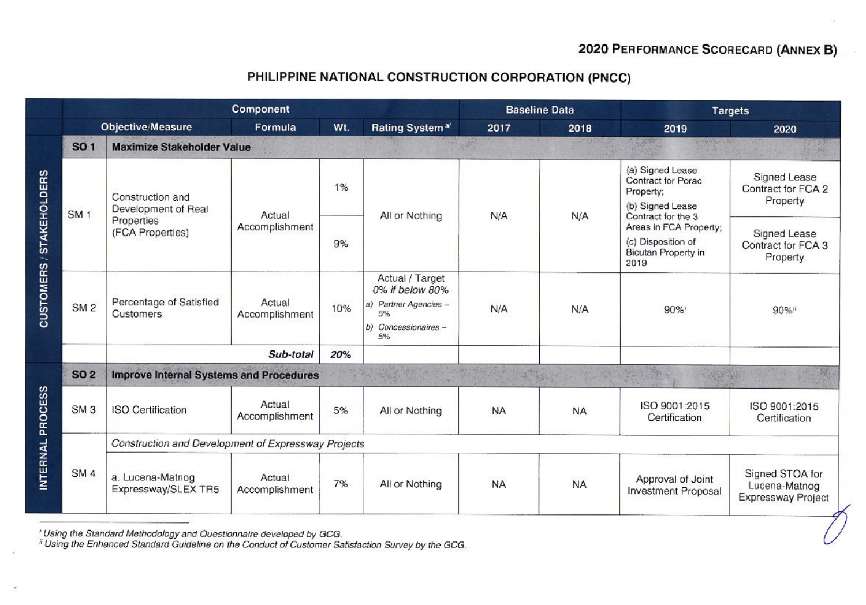## PHILIPPINE NATIONAL CONSTRUCTION CORPORATION (PNCC)

|                          | Component       |                                                                           |                          |     |                                                                                                 |           | <b>Baseline Data</b> | <b>Targets</b>                                                                                                                                                               |                                                        |  |
|--------------------------|-----------------|---------------------------------------------------------------------------|--------------------------|-----|-------------------------------------------------------------------------------------------------|-----------|----------------------|------------------------------------------------------------------------------------------------------------------------------------------------------------------------------|--------------------------------------------------------|--|
|                          |                 | <b>Objective/Measure</b>                                                  | Formula                  | Wt. | Rating System <sup>a/</sup>                                                                     | 2017      | 2018                 | 2019                                                                                                                                                                         | 2020                                                   |  |
| CUSTOMERS / STAKEHOLDERS | <b>SO1</b>      | <b>Maximize Stakeholder Value</b>                                         |                          |     |                                                                                                 |           |                      |                                                                                                                                                                              |                                                        |  |
|                          | SM <sub>1</sub> | Construction and<br>Development of Real<br>Properties<br>(FCA Properties) | Actual<br>Accomplishment | 1%  | All or Nothing                                                                                  | N/A       | N/A                  | (a) Signed Lease<br>Contract for Porac<br>Property;<br>(b) Signed Lease<br>Contract for the 3<br>Areas in FCA Property;<br>(c) Disposition of<br>Bicutan Property in<br>2019 | Signed Lease<br>Contract for FCA 2<br>Property         |  |
|                          |                 |                                                                           |                          | 9%  |                                                                                                 |           |                      |                                                                                                                                                                              | Signed Lease<br>Contract for FCA 3<br>Property         |  |
|                          | SM <sub>2</sub> | Percentage of Satisfied<br>Customers                                      | Actual<br>Accomplishment | 10% | Actual / Target<br>0% if below 80%<br>a) Partner Agencies -<br>5%<br>b) Concessionaires -<br>5% | N/A       | N/A                  | 90%                                                                                                                                                                          | 90%"                                                   |  |
|                          |                 |                                                                           |                          |     |                                                                                                 |           |                      |                                                                                                                                                                              |                                                        |  |
| INTERNAL PROCESS         | <b>SO 2</b>     | <b>Improve Internal Systems and Procedures</b>                            |                          |     |                                                                                                 |           |                      |                                                                                                                                                                              |                                                        |  |
|                          | SM <sub>3</sub> | <b>ISO Certification</b>                                                  | Actual<br>Accomplishment | 5%  | All or Nothing                                                                                  | <b>NA</b> | <b>NA</b>            | ISO 9001:2015<br>Certification                                                                                                                                               | ISO 9001:2015<br>Certification                         |  |
|                          | SM <sub>4</sub> | Construction and Development of Expressway Projects                       |                          |     |                                                                                                 |           |                      |                                                                                                                                                                              |                                                        |  |
|                          |                 | a. Lucena-Matnog<br>Expressway/SLEX TR5                                   | Actual<br>Accomplishment | 7%  | All or Nothing                                                                                  | <b>NA</b> | <b>NA</b>            | Approval of Joint<br><b>Investment Proposal</b>                                                                                                                              | Signed STOA for<br>Lucena-Matnog<br>Expressway Project |  |

' Using the Standard Methodology and Questionnaire developed by GCG.<br><sup>\*</sup> Using the Enhanced Standard Guideline on the Conduct of Customer Satisfaction Survey by the GCG.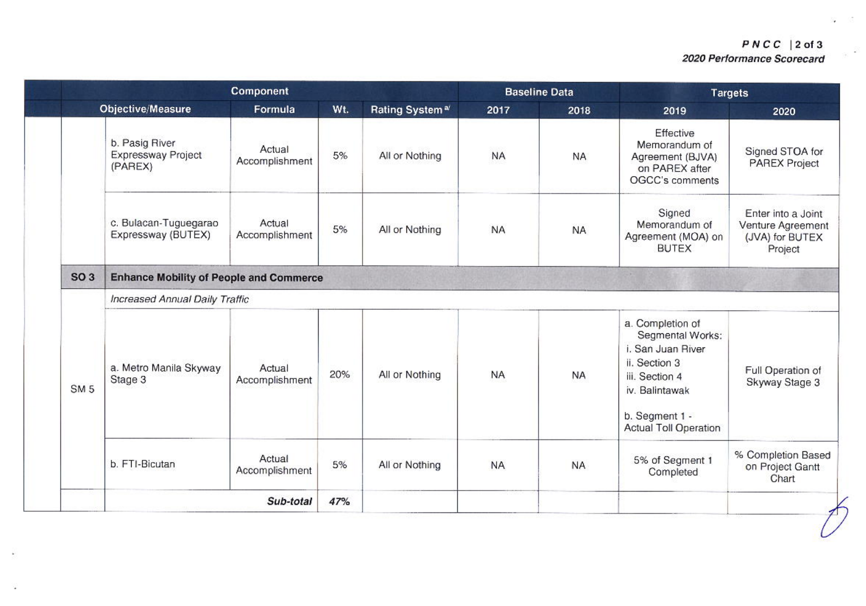| Component       |                                                 |                          |     | <b>Baseline Data</b>       |           | <b>Targets</b> |                                                                                                                                                                  |                                                                       |
|-----------------|-------------------------------------------------|--------------------------|-----|----------------------------|-----------|----------------|------------------------------------------------------------------------------------------------------------------------------------------------------------------|-----------------------------------------------------------------------|
|                 | Objective/Measure                               | Formula                  | Wt. | Rating System <sup>a</sup> | 2017      | 2018           | 2019                                                                                                                                                             | 2020                                                                  |
|                 | b. Pasig River<br>Expressway Project<br>(PAREX) | Actual<br>Accomplishment | 5%  | All or Nothing             | <b>NA</b> | <b>NA</b>      | Effective<br>Memorandum of<br>Agreement (BJVA)<br>on PAREX after<br>OGCC's comments                                                                              | Signed STOA for<br><b>PAREX Project</b>                               |
|                 | c. Bulacan-Tuguegarao<br>Expressway (BUTEX)     | Actual<br>Accomplishment | 5%  | All or Nothing             | <b>NA</b> | <b>NA</b>      | Signed<br>Memorandum of<br>Agreement (MOA) on<br><b>BUTEX</b>                                                                                                    | Enter into a Joint<br>Venture Agreement<br>(JVA) for BUTEX<br>Project |
| <b>SO 3</b>     | <b>Enhance Mobility of People and Commerce</b>  |                          |     |                            |           |                |                                                                                                                                                                  |                                                                       |
|                 | Increased Annual Daily Traffic                  |                          |     |                            |           |                |                                                                                                                                                                  |                                                                       |
| SM <sub>5</sub> | a. Metro Manila Skyway<br>Stage 3               | Actual<br>Accomplishment | 20% | All or Nothing             | <b>NA</b> | <b>NA</b>      | a. Completion of<br>Segmental Works:<br>i. San Juan River<br>ii. Section 3<br>iii. Section 4<br>iv. Balintawak<br>b. Segment 1 -<br><b>Actual Toll Operation</b> | Full Operation of<br>Skyway Stage 3                                   |
|                 | b. FTI-Bicutan                                  | Actual<br>Accomplishment | 5%  | All or Nothing             | <b>NA</b> | <b>NA</b>      | 5% of Segment 1<br>Completed                                                                                                                                     | % Completion Based<br>on Project Gantt<br>Chart                       |
|                 | Sub-total                                       |                          |     |                            |           |                |                                                                                                                                                                  |                                                                       |